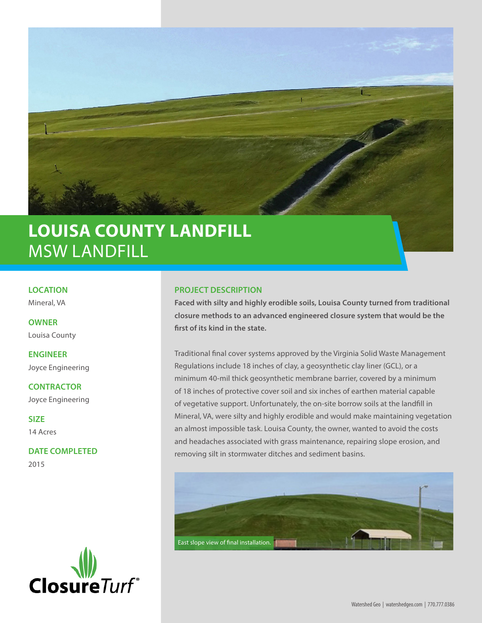

## **LOUISA COUNTY LANDFILL** MSW LANDFILL

**LOCATION**

Mineral, VA

**OWNER**  Louisa County

**ENGINEER** Joyce Engineering

**CONTRACTOR** Joyce Engineering

**SIZE**  14 Acres

**DATE COMPLETED**  2015



## **PROJECT DESCRIPTION**

**Faced with silty and highly erodible soils, Louisa County turned from traditional closure methods to an advanced engineered closure system that would be the first of its kind in the state.**

Traditional final cover systems approved by the Virginia Solid Waste Management Regulations include 18 inches of clay, a geosynthetic clay liner (GCL), or a minimum 40-mil thick geosynthetic membrane barrier, covered by a minimum of 18 inches of protective cover soil and six inches of earthen material capable of vegetative support. Unfortunately, the on-site borrow soils at the landfill in Mineral, VA, were silty and highly erodible and would make maintaining vegetation an almost impossible task. Louisa County, the owner, wanted to avoid the costs and headaches associated with grass maintenance, repairing slope erosion, and removing silt in stormwater ditches and sediment basins.